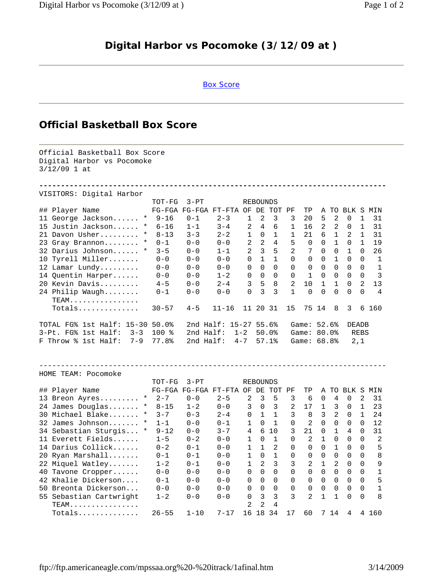## **Digital Harbor vs Pocomoke (3/12/09 at )**

## Box Score

## **Official Basketball Box Score**

Official Basketball Box Score Digital Harbor vs Pocomoke 3/12/09 1 at **--------------------------------------------------------------------------------** VISITORS: Digital Harbor TOT-FG 3-PT REBOUNDS ## Player Name FG-FGA FG-FGA FT-FTA OF DE TOT PF TP A TO BLK S MIN 11 George Jackson...... \* 9-16 0-1 2-3 1 2 3 3 20 5 2 0 1 31<br>15 Justin Jackson...... \* 6-16 1-1 3-4 2 4 6 1 16 2 2 0 1 31 15 Justin Jackson...... \* 6-16 1-1 3-4 2 4 6 1 16 2 2 0 1 31 21 Davon Usher......... \* 8-13 3-3 2-2 1 0 1 1 21 6 1 2 1 31 23 Gray Brannon........ \* 0-1 0-0 0-0 2 2 4 5 0 0 1 0 1 19 32 Darius Johnson...... \* 3-5 0-0 1-1 2 3 5 2 7 0 0 1 0 26 10 Tyrell Miller....... 0-0 0-0 0-0 0 1 1 0 0 0 1 0 0 1 12 Lamar Lundy......... 0-0 0-0 0-0 0 0 0 0 0 0 0 0 0 1 14 Quentin Harper...... 0-0 0-0 1-2 0 0 0 0 1 0 0 0 0 3 20 Kevin Davis......... 4-5 0-0 2-4 3 5 8 2 10 1 1 0 2 13 24 Philip Waugh........ 0-1 0-0 0-0 0 3 3 1 0 0 0 0 0 4 TEAM................ Totals.............. 30-57 4-5 11-16 11 20 31 15 75 14 8 3 6 160 TOTAL FG% 1st Half: 15-30 50.0% 2nd Half: 15-27 55.6% Game: 52.6% DEADB 3-Pt. FG% 1st Half: 3-3 100 % 2nd Half: 1-2 50.0% Game: 80.0% REBS F Throw % 1st Half: 7-9 77.8% 2nd Half: 4-7 57.1% Game: 68.8% 2,1 -------------------------------------------------------------------------------- HOME TEAM: Pocomoke TOT-FG 3-PT REBOUNDS ## Player Name FG-FGA FG-FGA FT-FTA OF DE TOT PF TP A TO BLK S MIN 13 Breon Ayres......... \* 2-7 0-0 2-5 2 3 5 3 6 0 4 0 2 31 24 James Douglas....... \* 8-15 1-2 0-0 3 0 3 2 17 1 3 0 1 23 30 Michael Blake....... \* 3-7 0-3 2-4 0 1 1 3 8 3 2 0 1 24 32 James Johnson....... \* 1-1 0-0 0-1 1 0 1 0 2 0 0 0 0 12 34 Sebastian Sturgis... \* 9-12 0-0 3-7 4 6 10 3 21 0 1 4 0 31 11 Everett Fields...... 1-5 0-2 0-0 1 0 1 0 2 1 0 0 0 2 14 Darius Collick...... 0-2 0-1 0-0 1 1 2 0 0 0 1 0 0 5 20 Ryan Marshall....... 0-1 0-1 0-0 1 0 1 0 0 0 0 0 0 8 22 Miquel Watley....... 1-2 0-1 0-0 1 2 3 3 2 1 2 0 0 9 40 Tavone Cropper...... 0-0 0-0 0-0 0 0 0 0 0 0 0 0 0 1 42 Khalie Dickerson.... 0-1 0-0 0-0 0 0 0 0 0 0 0 0 0 5 50 Breonta Dickerson... 0-0 0-0 0-0 0 0 0 0 0 0 0 0 0 1 55 Sebastian Cartwright 1-2 0-0 0-0 0 3 3 3 2 1 1 0 0 8 TEAM................ 2 2 4 Totals.............. 26-55 1-10 7-17 16 18 34 17 60 7 14 4 4 160